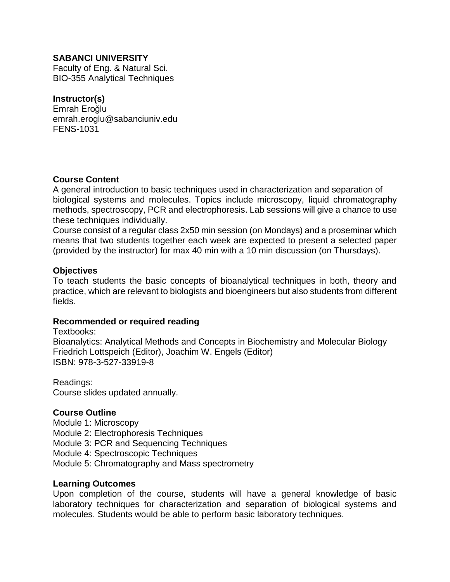### **SABANCI UNIVERSITY**

Faculty of Eng. & Natural Sci. BIO-355 Analytical Techniques

### **Instructor(s)**

Emrah Eroğlu emrah.eroglu@sabanciuniv.edu FENS-1031

### **Course Content**

A general introduction to basic techniques used in characterization and separation of biological systems and molecules. Topics include microscopy, liquid chromatography methods, spectroscopy, PCR and electrophoresis. Lab sessions will give a chance to use these techniques individually.

Course consist of a regular class 2x50 min session (on Mondays) and a proseminar which means that two students together each week are expected to present a selected paper (provided by the instructor) for max 40 min with a 10 min discussion (on Thursdays).

#### **Objectives**

To teach students the basic concepts of bioanalytical techniques in both, theory and practice, which are relevant to biologists and bioengineers but also students from different fields.

### **Recommended or required reading**

Textbooks: Bioanalytics: Analytical Methods and Concepts in Biochemistry and Molecular Biology Friedrich Lottspeich (Editor), Joachim W. Engels (Editor) ISBN: 978-3-527-33919-8

Readings: Course slides updated annually.

### **Course Outline**

Module 1: Microscopy Module 2: Electrophoresis Techniques Module 3: PCR and Sequencing Techniques Module 4: Spectroscopic Techniques Module 5: Chromatography and Mass spectrometry

#### **Learning Outcomes**

Upon completion of the course, students will have a general knowledge of basic laboratory techniques for characterization and separation of biological systems and molecules. Students would be able to perform basic laboratory techniques.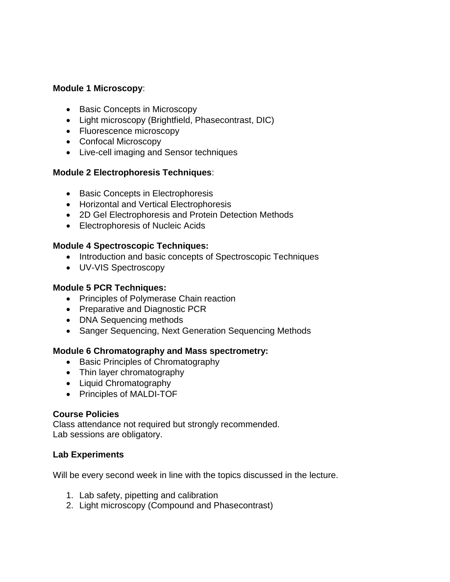## **Module 1 Microscopy**:

- Basic Concepts in Microscopy
- Light microscopy (Brightfield, Phasecontrast, DIC)
- Fluorescence microscopy
- Confocal Microscopy
- Live-cell imaging and Sensor techniques

### **Module 2 Electrophoresis Techniques**:

- Basic Concepts in Electrophoresis
- Horizontal and Vertical Electrophoresis
- 2D Gel Electrophoresis and Protein Detection Methods
- Electrophoresis of Nucleic Acids

## **Module 4 Spectroscopic Techniques:**

- Introduction and basic concepts of Spectroscopic Techniques
- UV-VIS Spectroscopy

# **Module 5 PCR Techniques:**

- Principles of Polymerase Chain reaction
- Preparative and Diagnostic PCR
- DNA Sequencing methods
- Sanger Sequencing, Next Generation Sequencing Methods

### **Module 6 Chromatography and Mass spectrometry:**

- Basic Principles of Chromatography
- Thin layer chromatography
- Liquid Chromatography
- Principles of MALDI-TOF

### **Course Policies**

Class attendance not required but strongly recommended. Lab sessions are obligatory.

### **Lab Experiments**

Will be every second week in line with the topics discussed in the lecture.

- 1. Lab safety, pipetting and calibration
- 2. Light microscopy (Compound and Phasecontrast)